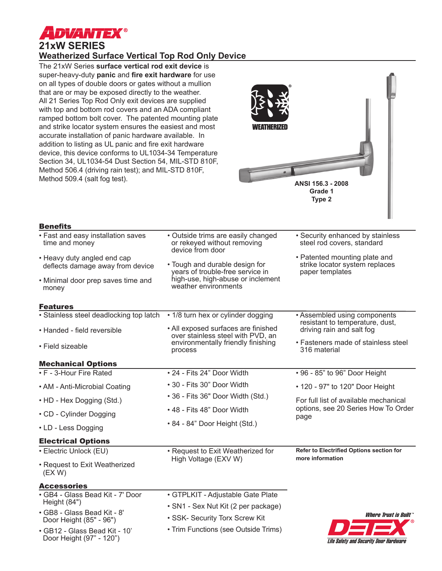

# **21xW SERIES Weatherized Surface Vertical Top Rod Only Device**

The 21xW Series **surface vertical rod exit device** is super-heavy-duty **panic** and **fire exit hardware** for use on all types of double doors or gates without a mullion that are or may be exposed directly to the weather. All 21 Series Top Rod Only exit devices are supplied with top and bottom rod covers and an ADA compliant ramped bottom bolt cover. The patented mounting plate and strike locator system ensures the easiest and most accurate installation of panic hardware available. In addition to listing as UL panic and fire exit hardware device, this device conforms to UL1034-34 Temperature Section 34, UL1034-54 Dust Section 54, MIL-STD 810F, Method 506.4 (driving rain test); and MIL-STD 810F, Method 509.4 (salt fog test).



# Benefits

| penents                                                         |                                                                                       |                                                                                    |  |
|-----------------------------------------------------------------|---------------------------------------------------------------------------------------|------------------------------------------------------------------------------------|--|
| • Fast and easy installation saves<br>time and money            | • Outside trims are easily changed<br>or rekeyed without removing<br>device from door | • Security enhanced by stainless<br>steel rod covers, standard                     |  |
| • Heavy duty angled end cap<br>deflects damage away from device | • Tough and durable design for<br>years of trouble-free service in                    | • Patented mounting plate and<br>strike locator system replaces<br>paper templates |  |
| • Minimal door prep saves time and<br>money                     | high-use, high-abuse or inclement<br>weather environments                             |                                                                                    |  |
| <b>Features</b>                                                 |                                                                                       |                                                                                    |  |
| • Stainless steel deadlocking top latch                         | • 1/8 turn hex or cylinder dogging                                                    | • Assembled using components                                                       |  |
| • Handed - field reversible                                     | • All exposed surfaces are finished<br>over stainless steel with PVD, an              | resistant to temperature, dust,<br>driving rain and salt fog                       |  |
| • Field sizeable                                                | environmentally friendly finishing<br>process                                         | • Fasteners made of stainless steel<br>316 material                                |  |
| <b>Mechanical Options</b>                                       |                                                                                       |                                                                                    |  |
| • F - 3-Hour Fire Rated                                         | • 24 - Fits 24" Door Width                                                            | • 96 - 85" to 96" Door Height                                                      |  |
| • AM - Anti-Microbial Coating                                   | • 30 - Fits 30" Door Width                                                            | • 120 - 97" to 120" Door Height                                                    |  |
| • HD - Hex Dogging (Std.)                                       | • 36 - Fits 36" Door Width (Std.)                                                     | For full list of available mechanical                                              |  |
| • CD - Cylinder Dogging                                         | • 48 - Fits 48" Door Width                                                            | options, see 20 Series How To Order<br>page                                        |  |
| • LD - Less Dogging                                             | • 84 - 84" Door Height (Std.)                                                         |                                                                                    |  |
| <b>Electrical Options</b>                                       |                                                                                       |                                                                                    |  |
| • Electric Unlock (EU)                                          | • Request to Exit Weatherized for                                                     | Refer to Electrified Options section for<br>more information                       |  |
| • Request to Exit Weatherized<br>(EX W)                         | High Voltage (EXV W)                                                                  |                                                                                    |  |
| <b>Accessories</b>                                              |                                                                                       |                                                                                    |  |
| · GB4 - Glass Bead Kit - 7' Door<br>Height (84")                | · GTPLKIT - Adjustable Gate Plate<br>• SN1 - Sex Nut Kit (2 per package)              |                                                                                    |  |
| • GB8 - Glass Bead Kit - 8'<br>Door Height (85" - 96")          | • SSK- Security Torx Screw Kit                                                        | <i><b>Where Trust is Built</b></i>                                                 |  |
| • GB12 - Glass Bead Kit - 10'<br>Door Height (97" - 120")       | • Trim Functions (see Outside Trims)                                                  | Life Safety and Security Door Hardware                                             |  |